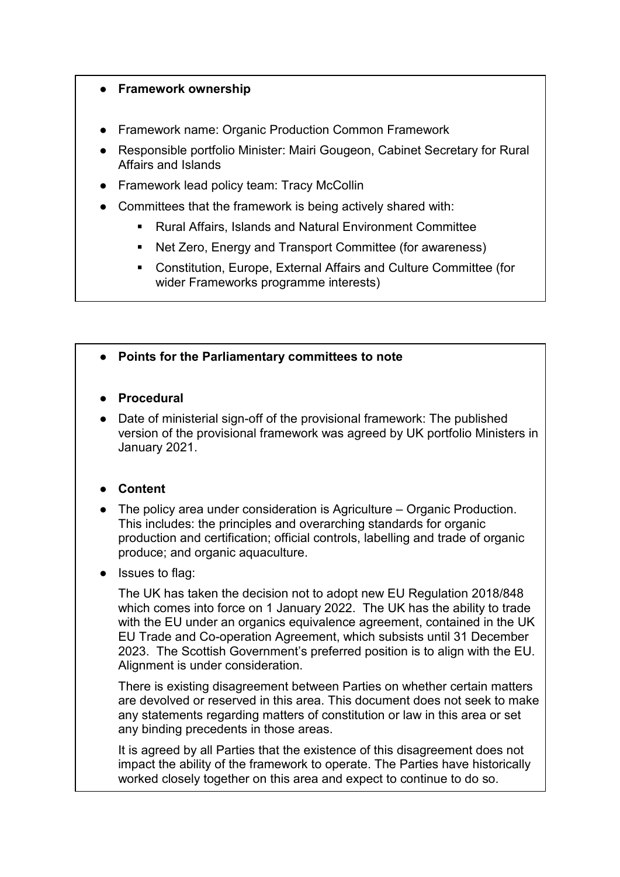### ● **Framework ownership**

- Framework name: Organic Production Common Framework
- Responsible portfolio Minister: Mairi Gougeon, Cabinet Secretary for Rural Affairs and Islands
- Framework lead policy team: Tracy McCollin
- Committees that the framework is being actively shared with:
	- Rural Affairs, Islands and Natural Environment Committee
	- Net Zero, Energy and Transport Committee (for awareness)
	- Constitution, Europe, External Affairs and Culture Committee (for wider Frameworks programme interests)

## ● **Points for the Parliamentary committees to note**

- **Procedural**
- Date of ministerial sign-off of the provisional framework: The published version of the provisional framework was agreed by UK portfolio Ministers in January 2021.

# ● **Content**

- The policy area under consideration is Agriculture Organic Production. This includes: the principles and overarching standards for organic production and certification; official controls, labelling and trade of organic produce; and organic aquaculture.
- **Issues to flag:**

The UK has taken the decision not to adopt new EU Regulation 2018/848 which comes into force on 1 January 2022. The UK has the ability to trade with the EU under an organics equivalence agreement, contained in the UK EU Trade and Co-operation Agreement, which subsists until 31 December 2023. The Scottish Government's preferred position is to align with the EU. Alignment is under consideration.

There is existing disagreement between Parties on whether certain matters are devolved or reserved in this area. This document does not seek to make any statements regarding matters of constitution or law in this area or set any binding precedents in those areas.

It is agreed by all Parties that the existence of this disagreement does not impact the ability of the framework to operate. The Parties have historically worked closely together on this area and expect to continue to do so.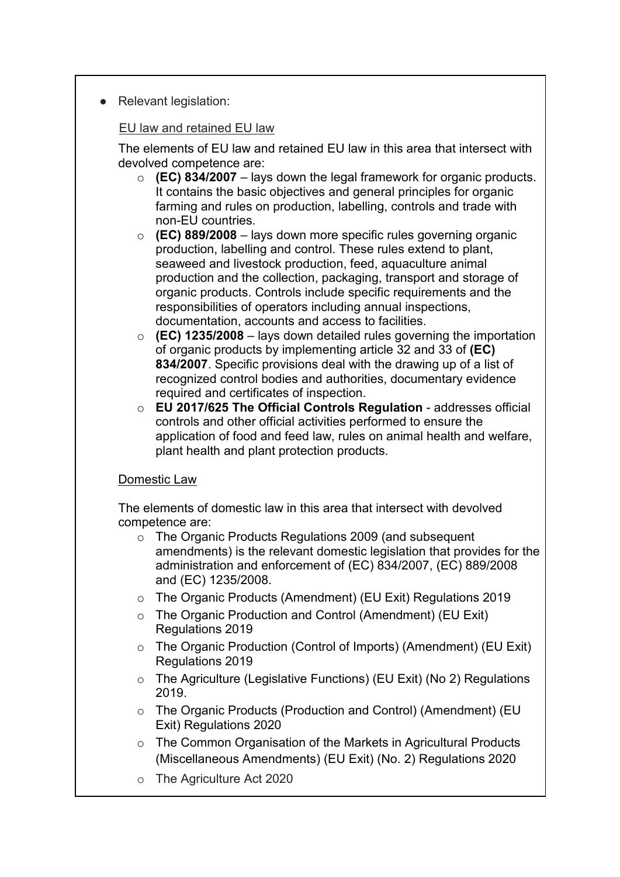● Relevant legislation:

### EU law and retained EU law

The elements of EU law and retained EU law in this area that intersect with devolved competence are:

- o **(EC) 834/2007** lays down the legal framework for organic products. It contains the basic objectives and general principles for organic farming and rules on production, labelling, controls and trade with non-EU countries.
- o **(EC) 889/2008** lays down more specific rules governing organic production, labelling and control. These rules extend to plant, seaweed and livestock production, feed, aquaculture animal production and the collection, packaging, transport and storage of organic products. Controls include specific requirements and the responsibilities of operators including annual inspections, documentation, accounts and access to facilities.
- o **(EC) 1235/2008** lays down detailed rules governing the importation of organic products by implementing article 32 and 33 of **(EC) 834/2007**. Specific provisions deal with the drawing up of a list of recognized control bodies and authorities, documentary evidence required and certificates of inspection.
- o **EU 2017/625 The Official Controls Regulation** addresses official controls and other official activities performed to ensure the application of food and feed law, rules on animal health and welfare, plant health and plant protection products.

### Domestic Law

The elements of domestic law in this area that intersect with devolved competence are:

- o The Organic Products Regulations 2009 (and subsequent amendments) is the relevant domestic legislation that provides for the administration and enforcement of (EC) 834/2007, (EC) 889/2008 and (EC) 1235/2008.
- o The Organic Products (Amendment) (EU Exit) Regulations 2019
- o The Organic Production and Control (Amendment) (EU Exit) Regulations 2019
- o The Organic Production (Control of Imports) (Amendment) (EU Exit) Regulations 2019
- o The Agriculture (Legislative Functions) (EU Exit) (No 2) Regulations 2019.
- o The Organic Products (Production and Control) (Amendment) (EU Exit) Regulations 2020
- o The Common Organisation of the Markets in Agricultural Products (Miscellaneous Amendments) (EU Exit) (No. 2) Regulations 2020
- o The Agriculture Act 2020